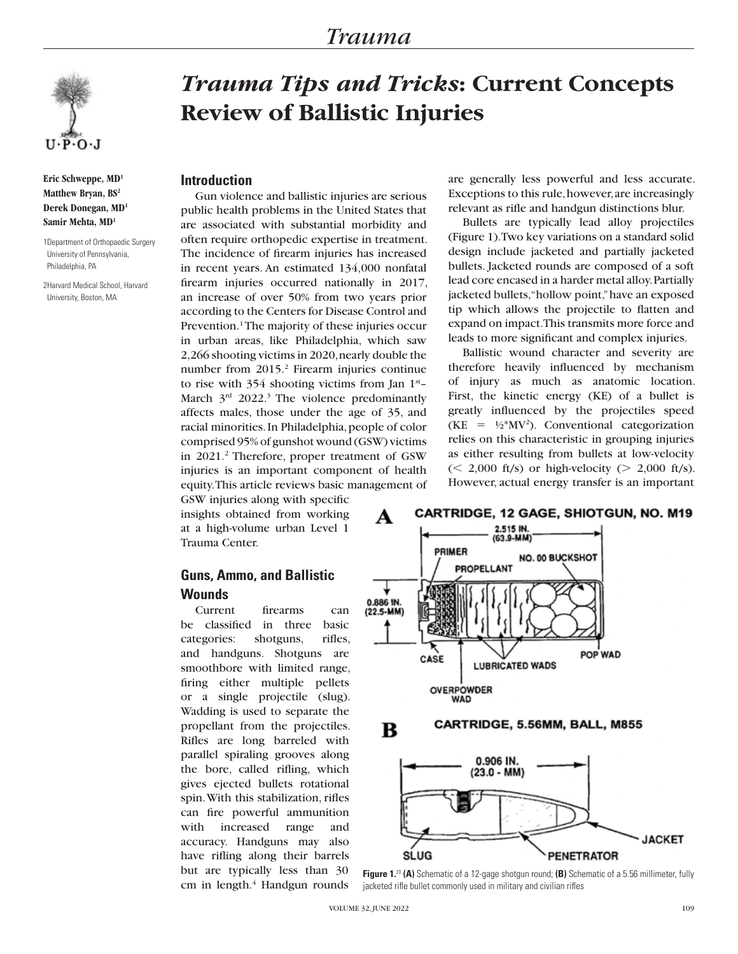

**Eric Schweppe, MD1 Matthew Bryan, BS2 Derek Donegan, MD1 Samir Mehta, MD1**

1Department of Orthopaedic Surgery University of Pennsylvania, Philadelphia, PA

2Harvard Medical School, Harvard University, Boston, MA

# *Trauma Tips and Tricks***: Current Concepts Review of Ballistic Injuries**

#### **Introduction**

Gun violence and ballistic injuries are serious public health problems in the United States that are associated with substantial morbidity and often require orthopedic expertise in treatment. The incidence of firearm injuries has increased in recent years. An estimated 134,000 nonfatal firearm injuries occurred nationally in 2017, an increase of over 50% from two years prior according to the Centers for Disease Control and Prevention.<sup>1</sup> The majority of these injuries occur in urban areas, like Philadelphia, which saw 2,266 shooting victims in 2020, nearly double the number from 2015.<sup>2</sup> Firearm injuries continue to rise with 354 shooting victims from Jan 1<sup>st</sup>-March  $3<sup>rd</sup>$  2022.<sup>3</sup> The violence predominantly affects males, those under the age of 35, and racial minorities. In Philadelphia, people of color comprised 95% of gunshot wound (GSW) victims in 2021.<sup>2</sup> Therefore, proper treatment of GSW injuries is an important component of health equity. This article reviews basic management of

GSW injuries along with specific insights obtained from working at a high-volume urban Level 1 Trauma Center.

## **Guns, Ammo, and Ballistic Wounds**

Current firearms can be classified in three basic categories: shotguns, rifles, and handguns. Shotguns are smoothbore with limited range, firing either multiple pellets or a single projectile (slug). Wadding is used to separate the propellant from the projectiles. Rifles are long barreled with parallel spiraling grooves along the bore, called rifling, which gives ejected bullets rotational spin. With this stabilization, rifles can fire powerful ammunition with increased range and accuracy. Handguns may also have rifling along their barrels but are typically less than 30 cm in length.<sup>4</sup> Handgun rounds are generally less powerful and less accurate. Exceptions to this rule, however, are increasingly relevant as rifle and handgun distinctions blur.

Bullets are typically lead alloy projectiles (Figure 1). Two key variations on a standard solid design include jacketed and partially jacketed bullets. Jacketed rounds are composed of a soft lead core encased in a harder metal alloy. Partially jacketed bullets, "hollow point," have an exposed tip which allows the projectile to flatten and expand on impact. This transmits more force and leads to more significant and complex injuries.

Ballistic wound character and severity are therefore heavily influenced by mechanism of injury as much as anatomic location. First, the kinetic energy (KE) of a bullet is greatly influenced by the projectiles speed  $(KE = \frac{1}{2}$ <sup>\*</sup>MV<sup>2</sup>). Conventional categorization relies on this characteristic in grouping injuries as either resulting from bullets at low-velocity  $\ll$  2,000 ft/s) or high-velocity ( $>$  2,000 ft/s). However, actual energy transfer is an important



**Figure 1.**20 **(A)** Schematic of a 12-gage shotgun round; **(B)** Schematic of a 5.56 millimeter, fully jacketed rifle bullet commonly used in military and civilian rifles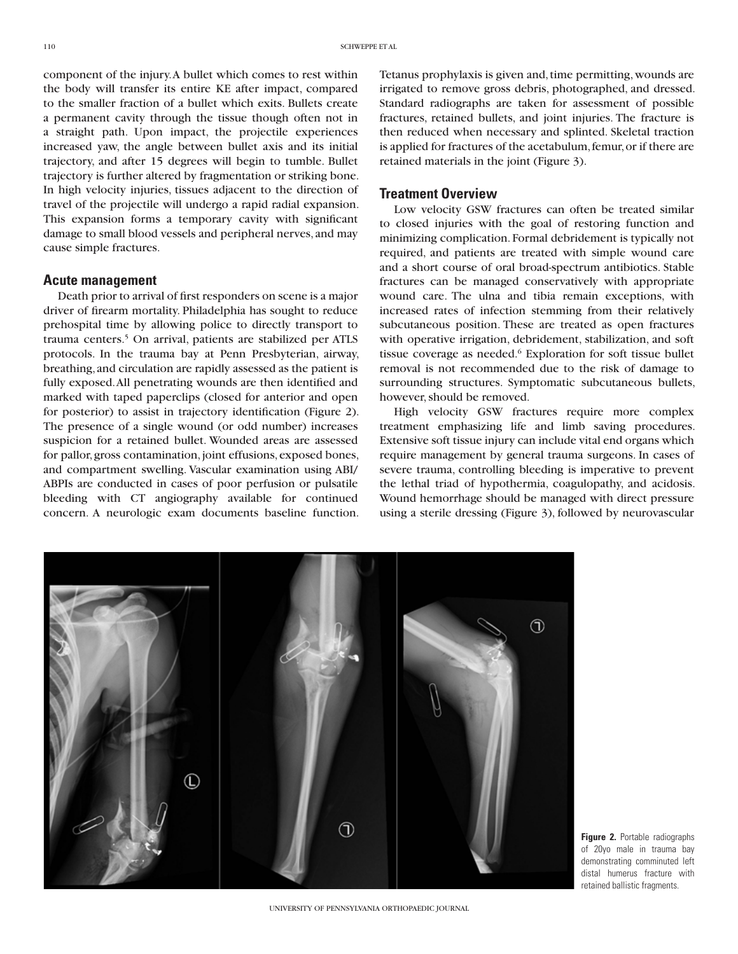component of the injury. A bullet which comes to rest within the body will transfer its entire KE after impact, compared to the smaller fraction of a bullet which exits. Bullets create a permanent cavity through the tissue though often not in a straight path. Upon impact, the projectile experiences increased yaw, the angle between bullet axis and its initial trajectory, and after 15 degrees will begin to tumble. Bullet trajectory is further altered by fragmentation or striking bone. In high velocity injuries, tissues adjacent to the direction of travel of the projectile will undergo a rapid radial expansion. This expansion forms a temporary cavity with significant damage to small blood vessels and peripheral nerves, and may cause simple fractures.

#### **Acute management**

Death prior to arrival of first responders on scene is a major driver of firearm mortality. Philadelphia has sought to reduce prehospital time by allowing police to directly transport to trauma centers.5 On arrival, patients are stabilized per ATLS protocols. In the trauma bay at Penn Presbyterian, airway, breathing, and circulation are rapidly assessed as the patient is fully exposed. All penetrating wounds are then identified and marked with taped paperclips (closed for anterior and open for posterior) to assist in trajectory identification (Figure 2). The presence of a single wound (or odd number) increases suspicion for a retained bullet. Wounded areas are assessed for pallor, gross contamination, joint effusions, exposed bones, and compartment swelling. Vascular examination using ABI/ ABPIs are conducted in cases of poor perfusion or pulsatile bleeding with CT angiography available for continued concern. A neurologic exam documents baseline function. Tetanus prophylaxis is given and, time permitting, wounds are irrigated to remove gross debris, photographed, and dressed. Standard radiographs are taken for assessment of possible fractures, retained bullets, and joint injuries. The fracture is then reduced when necessary and splinted. Skeletal traction is applied for fractures of the acetabulum, femur, or if there are retained materials in the joint (Figure 3).

### **Treatment Overview**

Low velocity GSW fractures can often be treated similar to closed injuries with the goal of restoring function and minimizing complication. Formal debridement is typically not required, and patients are treated with simple wound care and a short course of oral broad-spectrum antibiotics. Stable fractures can be managed conservatively with appropriate wound care. The ulna and tibia remain exceptions, with increased rates of infection stemming from their relatively subcutaneous position. These are treated as open fractures with operative irrigation, debridement, stabilization, and soft tissue coverage as needed.<sup>6</sup> Exploration for soft tissue bullet removal is not recommended due to the risk of damage to surrounding structures. Symptomatic subcutaneous bullets, however, should be removed.

High velocity GSW fractures require more complex treatment emphasizing life and limb saving procedures. Extensive soft tissue injury can include vital end organs which require management by general trauma surgeons. In cases of severe trauma, controlling bleeding is imperative to prevent the lethal triad of hypothermia, coagulopathy, and acidosis. Wound hemorrhage should be managed with direct pressure using a sterile dressing (Figure 3), followed by neurovascular



**Figure 2.** Portable radiographs of 20yo male in trauma bay demonstrating comminuted left distal humerus fracture with retained ballistic fragments.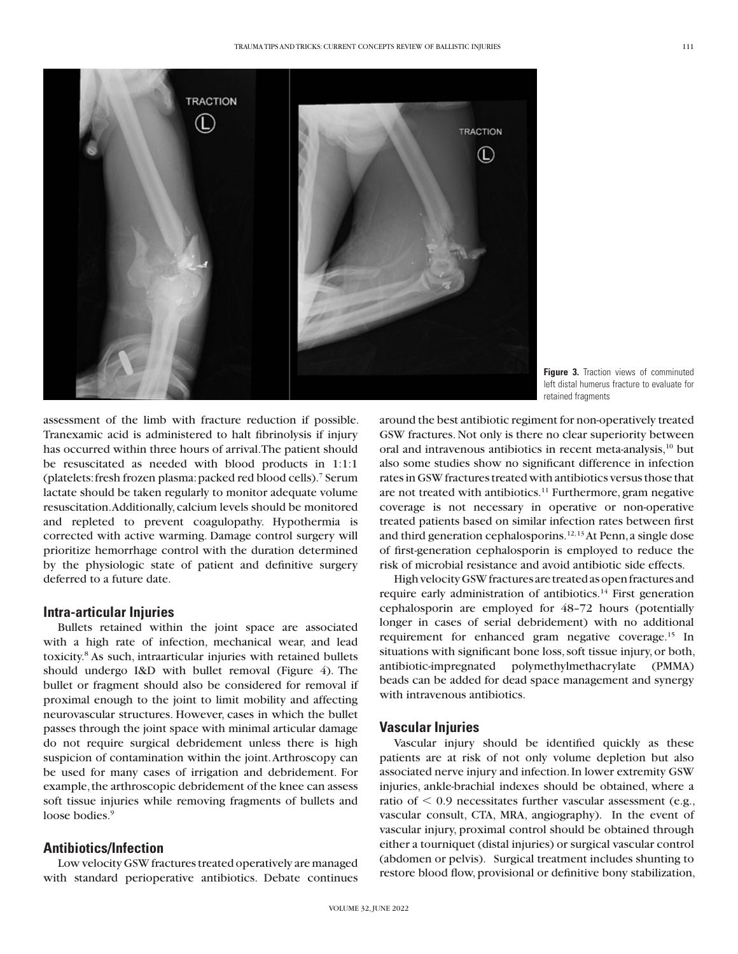

**Figure 3.** Traction views of comminuted left distal humerus fracture to evaluate for retained fragments

assessment of the limb with fracture reduction if possible. Tranexamic acid is administered to halt fibrinolysis if injury has occurred within three hours of arrival. The patient should be resuscitated as needed with blood products in 1:1:1 (platelets: fresh frozen plasma: packed red blood cells).7 Serum lactate should be taken regularly to monitor adequate volume resuscitation. Additionally, calcium levels should be monitored and repleted to prevent coagulopathy. Hypothermia is corrected with active warming. Damage control surgery will prioritize hemorrhage control with the duration determined by the physiologic state of patient and definitive surgery deferred to a future date.

### **Intra-articular Injuries**

Bullets retained within the joint space are associated with a high rate of infection, mechanical wear, and lead toxicity.8 As such, intraarticular injuries with retained bullets should undergo I&D with bullet removal (Figure 4). The bullet or fragment should also be considered for removal if proximal enough to the joint to limit mobility and affecting neurovascular structures. However, cases in which the bullet passes through the joint space with minimal articular damage do not require surgical debridement unless there is high suspicion of contamination within the joint. Arthroscopy can be used for many cases of irrigation and debridement. For example, the arthroscopic debridement of the knee can assess soft tissue injuries while removing fragments of bullets and loose bodies.<sup>9</sup>

## **Antibiotics/Infection**

Low velocity GSW fractures treated operatively are managed with standard perioperative antibiotics. Debate continues around the best antibiotic regiment for non-operatively treated GSW fractures. Not only is there no clear superiority between oral and intravenous antibiotics in recent meta-analysis,<sup>10</sup> but also some studies show no significant difference in infection rates in GSW fractures treated with antibiotics versus those that are not treated with antibiotics.<sup>11</sup> Furthermore, gram negative coverage is not necessary in operative or non-operative treated patients based on similar infection rates between first and third generation cephalosporins.<sup>12, 13</sup> At Penn, a single dose of first-generation cephalosporin is employed to reduce the risk of microbial resistance and avoid antibiotic side effects.

High velocity GSW fractures are treated as open fractures and require early administration of antibiotics.<sup>14</sup> First generation cephalosporin are employed for 48–72 hours (potentially longer in cases of serial debridement) with no additional requirement for enhanced gram negative coverage.<sup>15</sup> In situations with significant bone loss, soft tissue injury, or both, antibiotic-impregnated polymethylmethacrylate (PMMA) beads can be added for dead space management and synergy with intravenous antibiotics.

#### **Vascular Injuries**

Vascular injury should be identified quickly as these patients are at risk of not only volume depletion but also associated nerve injury and infection. In lower extremity GSW injuries, ankle-brachial indexes should be obtained, where a ratio of  $< 0.9$  necessitates further vascular assessment (e.g., vascular consult, CTA, MRA, angiography). In the event of vascular injury, proximal control should be obtained through either a tourniquet (distal injuries) or surgical vascular control (abdomen or pelvis). Surgical treatment includes shunting to restore blood flow, provisional or definitive bony stabilization,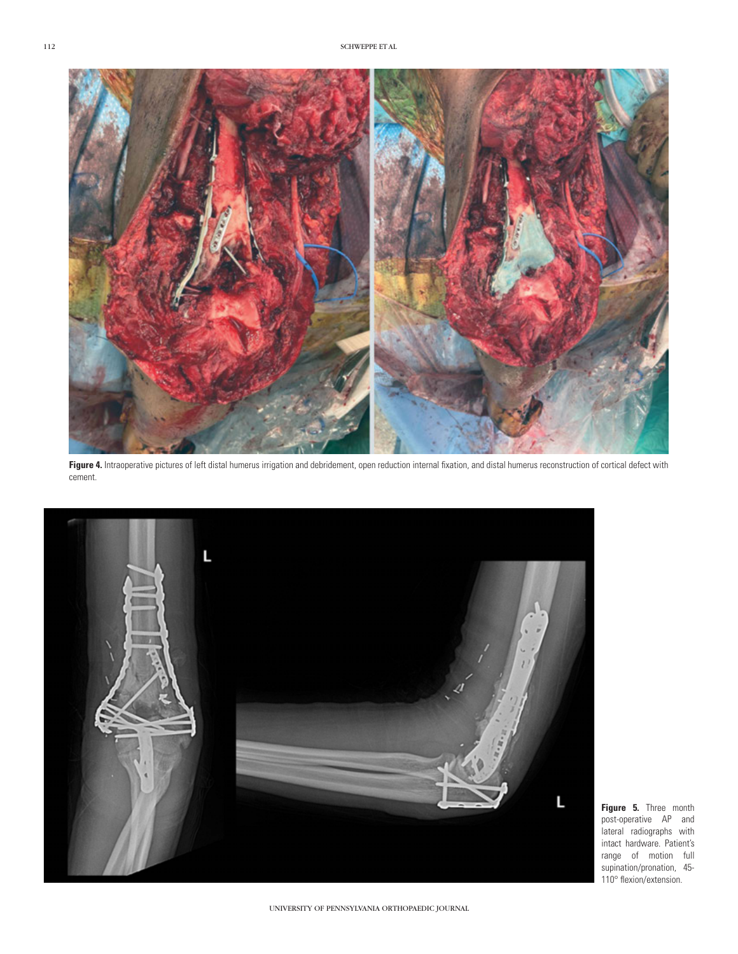

Figure 4. Intraoperative pictures of left distal humerus irrigation and debridement, open reduction internal fixation, and distal humerus reconstruction of cortical defect with cement.



**Figure 5.** Three month post-operative AP and lateral radiographs with intact hardware. Patient's range of motion full supination/pronation, 45- 110° flexion/extension.